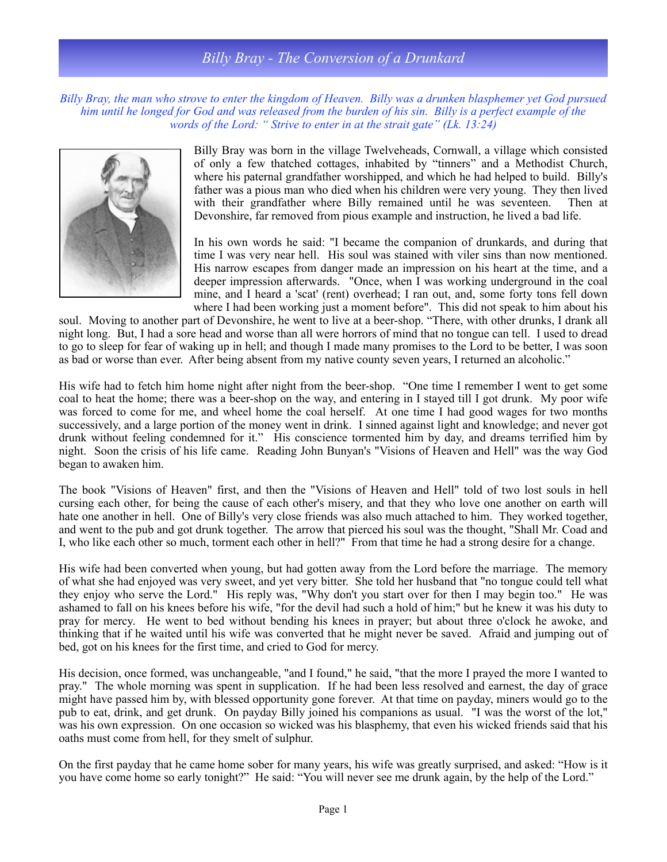## *Billy Bray - The Conversion of a Drunkard*

*Billy Bray, the man who strove to enter the kingdom of Heaven. Billy was a drunken blasphemer yet God pursued him until he longed for God and was released from the burden of his sin. Billy is a perfect example of the words of the Lord: " Strive to enter in at the strait gate" (Lk. 13:24)*



Billy Bray was born in the village Twelveheads, Cornwall, a village which consisted of only a few thatched cottages, inhabited by "tinners" and a Methodist Church, where his paternal grandfather worshipped, and which he had helped to build. Billy's father was a pious man who died when his children were very young. They then lived with their grandfather where Billy remained until he was seventeen. Then at Devonshire, far removed from pious example and instruction, he lived a bad life.

In his own words he said: "I became the companion of drunkards, and during that time I was very near hell. His soul was stained with viler sins than now mentioned. His narrow escapes from danger made an impression on his heart at the time, and a deeper impression afterwards. "Once, when I was working underground in the coal mine, and I heard a 'scat' (rent) overhead; I ran out, and, some forty tons fell down where I had been working just a moment before". This did not speak to him about his

soul. Moving to another part of Devonshire, he went to live at a beer-shop. "There, with other drunks, I drank all night long. But, I had a sore head and worse than all were horrors of mind that no tongue can tell. I used to dread to go to sleep for fear of waking up in hell; and though I made many promises to the Lord to be better, I was soon as bad or worse than ever. After being absent from my native county seven years, I returned an alcoholic."

His wife had to fetch him home night after night from the beer-shop. "One time I remember I went to get some coal to heat the home; there was a beer-shop on the way, and entering in I stayed till I got drunk. My poor wife was forced to come for me, and wheel home the coal herself. At one time I had good wages for two months successively, and a large portion of the money went in drink. I sinned against light and knowledge; and never got drunk without feeling condemned for it." His conscience tormented him by day, and dreams terrified him by night. Soon the crisis of his life came. Reading John Bunyan's "Visions of Heaven and Hell" was the way God began to awaken him.

The book "Visions of Heaven" first, and then the "Visions of Heaven and Hell" told of two lost souls in hell cursing each other, for being the cause of each other's misery, and that they who love one another on earth will hate one another in hell. One of Billy's very close friends was also much attached to him. They worked together, and went to the pub and got drunk together. The arrow that pierced his soul was the thought, "Shall Mr. Coad and I, who like each other so much, torment each other in hell?" From that time he had a strong desire for a change.

His wife had been converted when young, but had gotten away from the Lord before the marriage. The memory of what she had enjoyed was very sweet, and yet very bitter. She told her husband that "no tongue could tell what they enjoy who serve the Lord." His reply was, "Why don't you start over for then I may begin too." He was ashamed to fall on his knees before his wife, "for the devil had such a hold of him;" but he knew it was his duty to pray for mercy. He went to bed without bending his knees in prayer; but about three o'clock he awoke, and thinking that if he waited until his wife was converted that he might never be saved. Afraid and jumping out of bed, got on his knees for the first time, and cried to God for mercy.

His decision, once formed, was unchangeable, "and I found," he said, "that the more I prayed the more I wanted to pray." The whole morning was spent in supplication. If he had been less resolved and earnest, the day of grace might have passed him by, with blessed opportunity gone forever. At that time on payday, miners would go to the pub to eat, drink, and get drunk. On payday Billy joined his companions as usual. "I was the worst of the lot," was his own expression. On one occasion so wicked was his blasphemy, that even his wicked friends said that his oaths must come from hell, for they smelt of sulphur.

On the first payday that he came home sober for many years, his wife was greatly surprised, and asked: "How is it you have come home so early tonight?" He said: "You will never see me drunk again, by the help of the Lord."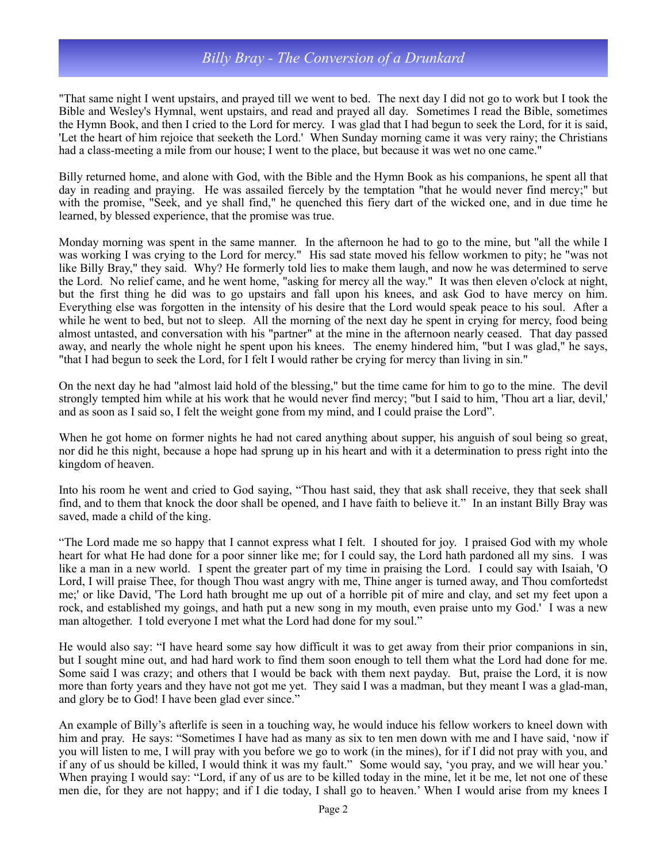## *Billy Bray - The Conversion of a Drunkard*

"That same night I went upstairs, and prayed till we went to bed. The next day I did not go to work but I took the Bible and Wesley's Hymnal, went upstairs, and read and prayed all day. Sometimes I read the Bible, sometimes the Hymn Book, and then I cried to the Lord for mercy. I was glad that I had begun to seek the Lord, for it is said, 'Let the heart of him rejoice that seeketh the Lord.' When Sunday morning came it was very rainy; the Christians had a class-meeting a mile from our house; I went to the place, but because it was wet no one came."

Billy returned home, and alone with God, with the Bible and the Hymn Book as his companions, he spent all that day in reading and praying. He was assailed fiercely by the temptation "that he would never find mercy;" but with the promise, "Seek, and ye shall find," he quenched this fiery dart of the wicked one, and in due time he learned, by blessed experience, that the promise was true.

Monday morning was spent in the same manner. In the afternoon he had to go to the mine, but "all the while I was working I was crying to the Lord for mercy." His sad state moved his fellow workmen to pity; he "was not like Billy Bray," they said. Why? He formerly told lies to make them laugh, and now he was determined to serve the Lord. No relief came, and he went home, "asking for mercy all the way." It was then eleven o'clock at night, but the first thing he did was to go upstairs and fall upon his knees, and ask God to have mercy on him. Everything else was forgotten in the intensity of his desire that the Lord would speak peace to his soul. After a while he went to bed, but not to sleep. All the morning of the next day he spent in crying for mercy, food being almost untasted, and conversation with his "partner" at the mine in the afternoon nearly ceased. That day passed away, and nearly the whole night he spent upon his knees. The enemy hindered him, "but I was glad," he says, "that I had begun to seek the Lord, for I felt I would rather be crying for mercy than living in sin."

On the next day he had "almost laid hold of the blessing," but the time came for him to go to the mine. The devil strongly tempted him while at his work that he would never find mercy; "but I said to him, 'Thou art a liar, devil,' and as soon as I said so, I felt the weight gone from my mind, and I could praise the Lord".

When he got home on former nights he had not cared anything about supper, his anguish of soul being so great, nor did he this night, because a hope had sprung up in his heart and with it a determination to press right into the kingdom of heaven.

Into his room he went and cried to God saying, "Thou hast said, they that ask shall receive, they that seek shall find, and to them that knock the door shall be opened, and I have faith to believe it." In an instant Billy Bray was saved, made a child of the king.

"The Lord made me so happy that I cannot express what I felt. I shouted for joy. I praised God with my whole heart for what He had done for a poor sinner like me; for I could say, the Lord hath pardoned all my sins. I was like a man in a new world. I spent the greater part of my time in praising the Lord. I could say with Isaiah, 'O Lord, I will praise Thee, for though Thou wast angry with me, Thine anger is turned away, and Thou comfortedst me;' or like David, 'The Lord hath brought me up out of a horrible pit of mire and clay, and set my feet upon a rock, and established my goings, and hath put a new song in my mouth, even praise unto my God.' I was a new man altogether. I told everyone I met what the Lord had done for my soul."

He would also say: "I have heard some say how difficult it was to get away from their prior companions in sin, but I sought mine out, and had hard work to find them soon enough to tell them what the Lord had done for me. Some said I was crazy; and others that I would be back with them next payday. But, praise the Lord, it is now more than forty years and they have not got me yet. They said I was a madman, but they meant I was a glad-man, and glory be to God! I have been glad ever since."

An example of Billy's afterlife is seen in a touching way, he would induce his fellow workers to kneel down with him and pray. He says: "Sometimes I have had as many as six to ten men down with me and I have said, 'now if you will listen to me, I will pray with you before we go to work (in the mines), for if I did not pray with you, and if any of us should be killed, I would think it was my fault." Some would say, 'you pray, and we will hear you.' When praying I would say: "Lord, if any of us are to be killed today in the mine, let it be me, let not one of these men die, for they are not happy; and if I die today, I shall go to heaven.' When I would arise from my knees I